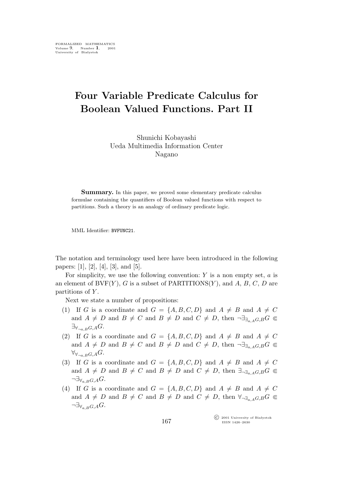## **Four Variable Predicate Calculus for Boolean Valued Functions. Part II**

Shunichi Kobayashi Ueda Multimedia Information Center Nagano

Summary. In this paper, we proved some elementary predicate calculus formulae containing the quantifiers of Boolean valued functions with respect to partitions. Such a theory is an analogy of ordinary predicate logic.

MML Identifier: BVFUNC21.

The notation and terminology used here have been introduced in the following papers: [1], [2], [4], [3], and [5].

For simplicity, we use the following convention:  $Y$  is a non empty set,  $a$  is an element of BVF $(Y)$ , G is a subset of PARTITIONS $(Y)$ , and A, B, C, D are partitions of Y.

Next we state a number of propositions:

- (1) If G is a coordinate and  $G = \{A, B, C, D\}$  and  $A \neq B$  and  $A \neq C$ and  $A \neq D$  and  $B \neq C$  and  $B \neq D$  and  $C \neq D$ , then  $\neg \exists_{\exists_{a} A} G, B G \subseteq$ *∃∀¬*a,BG,AG.
- (2) If G is a coordinate and  $G = \{A, B, C, D\}$  and  $A \neq B$  and  $A \neq C$ and  $A \neq D$  and  $B \neq C$  and  $B \neq D$  and  $C \neq D$ , then  $\neg \exists_{\exists_{a} A G, B} G \subseteq$ *∀∀¬*a,BG,AG.
- (3) If G is a coordinate and  $G = \{A, B, C, D\}$  and  $A \neq B$  and  $A \neq C$ and  $A \neq D$  and  $B \neq C$  and  $B \neq D$  and  $C \neq D$ , then  $\exists_{\neg \exists_{a} A G, B} G \subseteq$ *¬∃∀*a,BG,AG.
- (4) If G is a coordinate and  $G = \{A, B, C, D\}$  and  $A \neq B$  and  $A \neq C$ and  $A \neq D$  and  $B \neq C$  and  $B \neq D$  and  $C \neq D$ , then  $\forall_{\neg \exists_{a} A G, B} G \subseteq$ *¬∃∀*a,BG,AG.

°c 2001 University of Białystok ISSN 1426–2630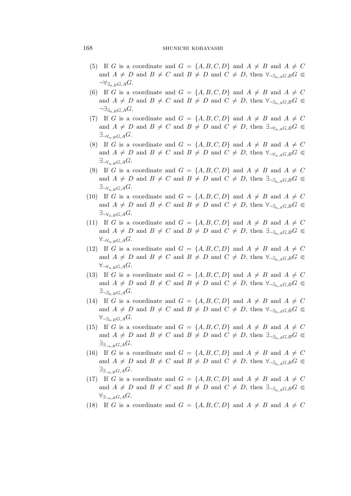## 168 SHUNICHI KOBAYASHI

- (5) If G is a coordinate and  $G = \{A, B, C, D\}$  and  $A \neq B$  and  $A \neq C$ and  $A \neq D$  and  $B \neq C$  and  $B \neq D$  and  $C \neq D$ , then  $\forall_{\neg \exists_{\alpha} A} G, B^C \in$ *¬∀∃*a,BG,AG.
- (6) If G is a coordinate and  $G = \{A, B, C, D\}$  and  $A \neq B$  and  $A \neq C$ and  $A \neq D$  and  $B \neq C$  and  $B \neq D$  and  $C \neq D$ , then  $\forall_{\neg \exists_{a} A} G \in$ *¬∃∃*a,BG,AG.
- (7) If G is a coordinate and  $G = \{A, B, C, D\}$  and  $A \neq B$  and  $A \neq C$ and  $A \neq D$  and  $B \neq C$  and  $B \neq D$  and  $C \neq D$ , then  $\exists_{\neg \forall_{a} A} G, B G \subseteq$ *∃¬∀*a,BG,AG.
- (8) If G is a coordinate and  $G = \{A, B, C, D\}$  and  $A \neq B$  and  $A \neq C$ and  $A \neq D$  and  $B \neq C$  and  $B \neq D$  and  $C \neq D$ , then  $\forall_{\neg \forall_{a} A} G, B G \subseteq$ *∃¬∀*a,BG,AG.
- (9) If G is a coordinate and  $G = \{A, B, C, D\}$  and  $A \neq B$  and  $A \neq C$ and  $A \neq D$  and  $B \neq C$  and  $B \neq D$  and  $C \neq D$ , then  $\exists_{\neg \exists_{a \in A} G, B} G \subseteq$ *∃¬∀*a,BG,AG.
- (10) If G is a coordinate and  $G = \{A, B, C, D\}$  and  $A \neq B$  and  $A \neq C$ and  $A \neq D$  and  $B \neq C$  and  $B \neq D$  and  $C \neq D$ , then  $\forall \neg \exists_{a \in A} G, B G \subseteq$ *∃¬∀*a,BG,AG.
- (11) If G is a coordinate and  $G = \{A, B, C, D\}$  and  $A \neq B$  and  $A \neq C$ and  $A \neq D$  and  $B \neq C$  and  $B \neq D$  and  $C \neq D$ , then  $\exists_{\neg \exists_{a} A} G, B G \subseteq$ *∀¬∀*a,BG,AG.
- (12) If G is a coordinate and  $G = \{A, B, C, D\}$  and  $A \neq B$  and  $A \neq C$ and  $A \neq D$  and  $B \neq C$  and  $B \neq D$  and  $C \neq D$ , then  $\forall \exists a \in A \cap G \subseteq$ *∀¬∀*a,BG,AG.
- (13) If G is a coordinate and  $G = \{A, B, C, D\}$  and  $A \neq B$  and  $A \neq C$ and  $A \neq D$  and  $B \neq C$  and  $B \neq D$  and  $C \neq D$ , then  $\forall_{\neg \exists_{a,A} G,B} G \subseteq$ *∃¬∃*a,BG,AG.
- (14) If G is a coordinate and  $G = \{A, B, C, D\}$  and  $A \neq B$  and  $A \neq C$ and  $A \neq D$  and  $B \neq C$  and  $B \neq D$  and  $C \neq D$ , then  $\forall_{\neg \exists_{a} A G, B} G \subseteq$ *∀¬∃*a,BG,AG.
- (15) If G is a coordinate and  $G = \{A, B, C, D\}$  and  $A \neq B$  and  $A \neq C$ and  $A \neq D$  and  $B \neq C$  and  $B \neq D$  and  $C \neq D$ , then  $\exists_{\neg \exists_{a,A} G,B} G \subseteq$ *∃∃¬*a,BG,AG.
- (16) If G is a coordinate and  $G = \{A, B, C, D\}$  and  $A \neq B$  and  $A \neq C$ and  $A \neq D$  and  $B \neq C$  and  $B \neq D$  and  $C \neq D$ , then  $\forall_{\neg \exists_{a,A} G,B} G \subseteq$ *∃∃¬*a,BG,AG.
- (17) If G is a coordinate and  $G = \{A, B, C, D\}$  and  $A \neq B$  and  $A \neq C$ and  $A \neq D$  and  $B \neq C$  and  $B \neq D$  and  $C \neq D$ , then  $\exists_{\neg \exists_{a} A} G, B G \subseteq$ *∀∃¬*a,BG,AG.
- (18) If G is a coordinate and  $G = \{A, B, C, D\}$  and  $A \neq B$  and  $A \neq C$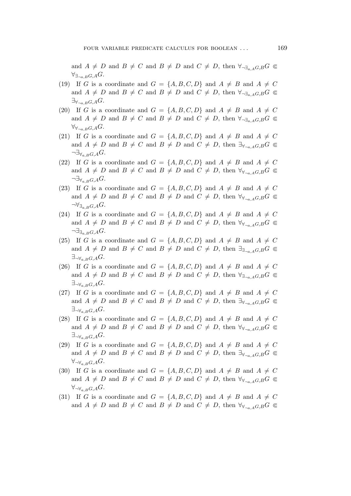and  $A \neq D$  and  $B \neq C$  and  $B \neq D$  and  $C \neq D$ , then  $\forall_{\neg \exists_a A G, B} G \subseteq$ *∀∃¬*a,BG,AG.

- (19) If G is a coordinate and  $G = \{A, B, C, D\}$  and  $A \neq B$  and  $A \neq C$ and  $A \neq D$  and  $B \neq C$  and  $B \neq D$  and  $C \neq D$ , then  $\forall_{\neg \exists_{a,A} G,B} G \subseteq$  $\exists$ <sup>γ</sup><sub>→a,B</sub>G,A<sup>G</sup>.
- (20) If G is a coordinate and  $G = \{A, B, C, D\}$  and  $A \neq B$  and  $A \neq C$ and  $A \neq D$  and  $B \neq C$  and  $B \neq D$  and  $C \neq D$ , then  $\forall_{\neg \exists_{a,A} G,B} G \subseteq$  $\forall\forall\forall\pi$ <sub>na, B</sub>G,A<sup>G</sup>.
- (21) If G is a coordinate and  $G = \{A, B, C, D\}$  and  $A \neq B$  and  $A \neq C$ and  $A \neq D$  and  $B \neq C$  and  $B \neq D$  and  $C \neq D$ , then  $\exists_{\forall_{\neg a} A} G, B G \subseteq$ *¬∃∀*a,BG,AG.
- (22) If G is a coordinate and  $G = \{A, B, C, D\}$  and  $A \neq B$  and  $A \neq C$ and  $A \neq D$  and  $B \neq C$  and  $B \neq D$  and  $C \neq D$ , then  $\forall y_{\neg a \rightarrow G,B} G \subseteq$ *¬∃∀*a,BG,AG.
- (23) If G is a coordinate and  $G = \{A, B, C, D\}$  and  $A \neq B$  and  $A \neq C$ and  $A \neq D$  and  $B \neq C$  and  $B \neq D$  and  $C \neq D$ , then  $\forall y_{\neg a \rightarrow a} G, B G \subseteq$ →∀<sub>∃a,B</sub>G,AG.
- (24) If G is a coordinate and  $G = \{A, B, C, D\}$  and  $A \neq B$  and  $A \neq C$ and  $A \neq D$  and  $B \neq C$  and  $B \neq D$  and  $C \neq D$ , then  $\forall y_{\neg a \rightarrow G,B} G \subseteq$ *¬∃∃*a,BG,AG.
- (25) If G is a coordinate and  $G = \{A, B, C, D\}$  and  $A \neq B$  and  $A \neq C$ and  $A \neq D$  and  $B \neq C$  and  $B \neq D$  and  $C \neq D$ , then  $\exists_{\exists_{\neg a, A}G,B}G \subseteq$ *∃¬∀*a,BG,AG.
- (26) If G is a coordinate and  $G = \{A, B, C, D\}$  and  $A \neq B$  and  $A \neq C$ and  $A \neq D$  and  $B \neq C$  and  $B \neq D$  and  $C \neq D$ , then  $\forall_{\exists_{\neg a \in A}G,B}G \subseteq$ *∃¬∀*a,BG,AG.
- (27) If G is a coordinate and  $G = \{A, B, C, D\}$  and  $A \neq B$  and  $A \neq C$ and  $A \neq D$  and  $B \neq C$  and  $B \neq D$  and  $C \neq D$ , then  $\exists_{\forall_{\neg a} A} G, B G \subseteq$ *∃¬∀*a,BG,AG.
- (28) If G is a coordinate and  $G = \{A, B, C, D\}$  and  $A \neq B$  and  $A \neq C$ and  $A \neq D$  and  $B \neq C$  and  $B \neq D$  and  $C \neq D$ , then  $\forall y_{\neg a, A}G, B$   $\in$ *∃¬∀*a,BG,AG.
- (29) If G is a coordinate and  $G = \{A, B, C, D\}$  and  $A \neq B$  and  $A \neq C$ and  $A \neq D$  and  $B \neq C$  and  $B \neq D$  and  $C \neq D$ , then  $\exists_{\forall_{\neg a} A} G, B^C \in$ *∀¬∀*a,BG,AG.
- (30) If G is a coordinate and  $G = \{A, B, C, D\}$  and  $A \neq B$  and  $A \neq C$ and  $A \neq D$  and  $B \neq C$  and  $B \neq D$  and  $C \neq D$ , then  $\forall y_{\neg a \rightarrow G,B} G \subseteq$ *∀¬∀*a,BG,AG.
- (31) If G is a coordinate and  $G = \{A, B, C, D\}$  and  $A \neq B$  and  $A \neq C$ and  $A \neq D$  and  $B \neq C$  and  $B \neq D$  and  $C \neq D$ , then  $\forall y_{\neg a, A}G, B$   $\in$